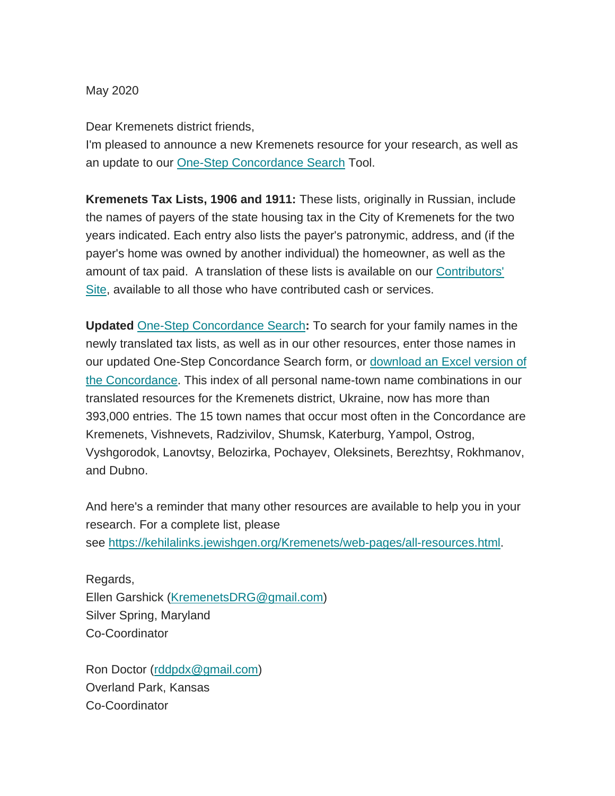May 2020

Dear Kremenets district friends,

I'm pleased to announce a new Kremenets resource for your research, as well as an update to our [One-Step Concordance Search](https://kehilalinks.jewishgen.org/Kremenets/web-pages/database/krem_search_frm.html) Tool.

**Kremenets Tax Lists, 1906 and 1911:** These lists, originally in Russian, include the names of payers of the state housing tax in the City of Kremenets for the two years indicated. Each entry also lists the payer's patronymic, address, and (if the payer's home was owned by another individual) the homeowner, as well as the amount of tax paid. A translation of these lists is available on our [Contributors'](https://sites.google.com/site/kdrgcontributors/)  [Site,](https://sites.google.com/site/kdrgcontributors/) available to all those who have contributed cash or services.

**Updated** [One-Step Concordance Search](https://kehilalinks.jewishgen.org/Kremenets/web-pages/database/krem_search_frm.html)**:** To search for your family names in the newly translated tax lists, as well as in our other resources, enter those names in our updated One-Step Concordance Search form, or download an Excel version of [the Concordance.](http://www.kehilalinks.jewishgen.org/Kremenets/web-pages/documents/concordance/Concordance-by-surname.xlsx) This index of all personal name-town name combinations in our translated resources for the Kremenets district, Ukraine, now has more than 393,000 entries. The 15 town names that occur most often in the Concordance are Kremenets, Vishnevets, Radzivilov, Shumsk, Katerburg, Yampol, Ostrog, Vyshgorodok, Lanovtsy, Belozirka, Pochayev, Oleksinets, Berezhtsy, Rokhmanov, and Dubno.

And here's a reminder that many other resources are available to help you in your research. For a complete list, please see [https://kehilalinks.jewishgen.org/Kremenets/web-pages/all-resources.html.](https://kehilalinks.jewishgen.org/Kremenets/web-pages/all-resources.html)

Regards, Ellen Garshick [\(KremenetsDRG@gmail.com\)](mailto:KremenetsDRG@gmail.com) Silver Spring, Maryland Co-Coordinator

Ron Doctor [\(rddpdx@gmail.com\)](mailto:rddpdx@gmail.com) Overland Park, Kansas Co-Coordinator